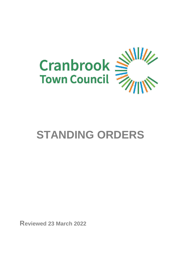

# **STANDING ORDERS**

**Reviewed 23 March 2022**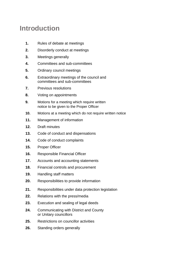## **Introduction**

- **1.** Rules of debate at meetings
- **2.** Disorderly conduct at meetings
- **3.** Meetings generally
- **4.** Committees and sub-committees
- **5.** Ordinary council meetings
- **6.** Extraordinary meetings of the council and committees and sub-committees
- **7.** Previous resolutions
- **8.** Voting on appointments
- **9.** Motions for a meeting which require written notice to be given to the Proper Officer
- **10.** Motions at a meeting which do not require written notice
- **11.** Management of information
- **12.** Draft minutes
- **13.** Code of conduct and dispensations
- **14.** Code of conduct complaints
- **15.** Proper Officer
- **16.** Responsible Financial Officer
- **17.** Accounts and accounting statements
- **18.** Financial controls and procurement
- **19.** Handling staff matters
- **20.** Responsibilities to provide information
- **21.** Responsibilities under data protection legislation
- **22.** Relations with the press/media
- **23.** Execution and sealing of legal deeds
- **24.** Communicating with District and County or Unitary councillors
- **25.** Restrictions on councillor activities
- **26.** Standing orders generally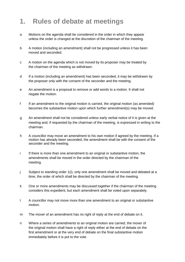## **1. Rules of debate at meetings**

- a Motions on the agenda shall be considered in the order in which they appear unless the order is changed at the discretion of the chairman of the meeting.
- b A motion (including an amendment) shall not be progressed unless it has been moved and seconded.
- c A motion on the agenda which is not moved by its proposer may be treated by the chairman of the meeting as withdrawn.
- d If a motion (including an amendment) has been seconded, it may be withdrawn by the proposer only with the consent of the seconder and the meeting.
- e An amendment is a proposal to remove or add words to a motion. It shall not negate the motion.
- f If an amendment to the original motion is carried, the original motion (as amended) becomes the substantive motion upon which further amendment(s) may be moved.
- g An amendment shall not be considered unless early verbal notice of it is given at the meeting and, if requested by the chairman of the meeting, is expressed in writing to the chairman.
- h A councillor may move an amendment to his own motion if agreed by the meeting. If a motion has already been seconded, the amendment shall be with the consent of the seconder and the meeting.
- i If there is more than one amendment to an original or substantive motion, the amendments shall be moved in the order directed by the chairman of the meeting.
- j Subject to standing order 1(i), only one amendment shall be moved and debated at a time, the order of which shall be directed by the chairman of the meeting.
- k One or more amendments may be discussed together if the chairman of the meeting considers this expedient, but each amendment shall be voted upon separately.
- l A councillor may not move more than one amendment to an original or substantive motion.
- m The mover of an amendment has no right of reply at the end of debate on it.
- n Where a series of amendments to an original motion are carried, the mover of the original motion shall have a right of reply either at the end of debate on the first amendment or at the very end of debate on the final substantive motion immediately before it is put to the vote.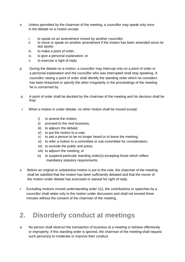- o Unless permitted by the chairman of the meeting, a councillor may speak only once in the debate on a motion except:
	- i. to speak on an amendment moved by another councillor;
	- ii. to move or speak on another amendment if the motion has been amended since he last spoke;
	- iii. to make a point of order;
	- iv. to give a personal explanation; or
	- v. to exercise a right of reply.
- p During the debate on a motion, a councillor may interrupt only on a point of order or a personal explanation and the councillor who was interrupted shall stop speaking. A councillor raising a point of order shall identify the standing order which he considers has been breached or specify the other irregularity in the proceedings of the meeting he is concerned by.
- q A point of order shall be decided by the chairman of the meeting and his decision shall be final.
- r When a motion is under debate, no other motion shall be moved except:
	- i) to amend the motion;
	- ii) proceed to the next business;
	- iii) to adjourn the debate;
	- iv) to put the motion to a vote;
	- v) to ask a person to be no longer heard or to leave the meeting;
	- vi) to refer a motion to a committee or sub-committee for consideration;
	- vii) to exclude the public and press;
	- viii) to adjourn the meeting; or
	- ix) to suspend particular standing order(s) excepting those which reflect mandatory statutory requirements.
- s Before an original or substantive motion is put to the vote, the chairman of the meeting shall be satisfied that the motion has been sufficiently debated and that the mover of the motion under debate has exercised or waived his right of reply.
- t Excluding motions moved understanding order 1(r), the contributions or speeches by a councillor shall relate only to the motion under discussion and shall not exceed three minutes without the consent of the chairman of the meeting.

## **2. Disorderly conduct at meetings**

a No person shall obstruct the transaction of business at a meeting or behave offensively or improperly. If this standing order is ignored, the chairman of the meeting shall request such person(s) to moderate or improve their conduct.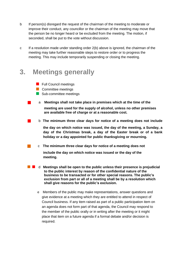- b If person(s) disregard the request of the chairman of the meeting to moderate or improve their conduct, any councillor or the chairman of the meeting may move that the person be no longer heard or be excluded from the meeting. The motion, if seconded, shall be put to the vote without discussion.
- c If a resolution made under standing order 2(b) above is ignored, the chairman of the meeting may take further reasonable steps to restore order or to progress the meeting. This may include temporarily suspending or closing the meeting.

#### **3. Meetings generally**

- **Full Council meetings**
- **Committee meetings**
- Sub-committee meetings
- <sup>a</sup>**Meetings shall not take place in premises which at the time of the meeting are used for the supply of alcohol, unless no other premises are available free of charge or at a reasonable cost.**
- <sup>b</sup> **The minimum three clear days for notice of a meeting does not include**

**the day on which notice was issued, the day of the meeting, a Sunday, a day of the Christmas break, a day of the Easter break or of a bank holiday or a day appointed for public thanksgiving or mourning.**

**Example 2** C The minimum three clear days for notice of a meeting does not

**include the day on which notice was issued or the day of the meeting.**

- **Meetings shall be open to the public unless their presence is prejudicial to the public interest by reason of the confidential nature of the business to be transacted or for other special reasons. The public's exclusion from part or all of a meeting shall be by a resolution which shall give reasons for the public's exclusion.**
	- e Members of the public may make representations, answer questions and give evidence at a meeting which they are entitled to attend in respect of Council business. If any item raised as part of a public participation item on an agenda does not form part of that agenda, the Council may respond to the member of the public orally or in writing after the meeting or it might place that item on a future agenda if a formal debate and/or decision is required.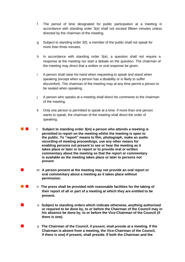- f The period of time designated for public participation at a meeting in accordance with standing order 3(e) shall not exceed fifteen minutes unless directed by the chairman of the meeting.
- g Subject to standing order 3(f), a member of the public shall not speak for more than three minutes.
- h In accordance with standing order 3(e), a question shall not require a response at the meeting nor start a debate on the question. The chairman of the meeting may direct that a written or oral response be given.
- i A person shall raise his hand when requesting to speak and stand when speaking (except when a person has a disability or is likely to suffer discomfort). The chairman of the meeting may at any time permit a person to be seated when speaking.
- j A person who speaks at a meeting shall direct his comments to the chairman of the meeting.
- k Only one person is permitted to speak at a time. If more than one person wants to speak, the chairman of the meeting shall direct the order of speaking.
- **l B l** Subject to standing order 3(m) a person who attends a meeting is **permitted to report on the meeting whilst the meeting is open to the public. To "report" means to film, photograph, make an audio recording of meeting proceedings, use any other means for enabling persons not present to see or hear the meeting as it takes place or later or to report or to provide oral or written commentary about the meeting so that the report or commentary is available as the meeting takes place or later to persons not present**.
	- m **A person present at the meeting may not provide an oral report or oral commentary about a meeting as it takes place without permission.**
- **n** The press shall be provided with reasonable facilities for the taking of **their report of all or part of a meeting at which they are entitled to be present.**
	- <sup>o</sup> **Subject to standing orders which indicate otherwise, anything authorised or required to be done by, to or before the Chairman of the Council may in his absence be done by, to or before the Vice-Chairman of the Council (if there is one).**
- <sup>p</sup> **The Chairman of the Council, if present, shall preside at a meeting. If the Chairman is absent from a meeting, the Vice-Chairman of the Council, if there is one) if present, shall preside. If both the Chairman and the**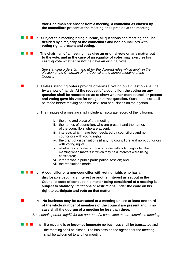**Vice-Chairman are absent from a meeting, a councillor as chosen by the councillors present at the meeting shall preside at the meeting. E E** q Subject to a meeting being quorate, all questions at a meeting shall be **decided by a majority of the councillors and non-councillors with voting rights present and voting. The Form The chairman of a meeting may give an original vote on any matter put to the vote, and in the case of an equality of votes may exercise his casting vote whether or not he gave an original vote.** *See standing orders 5(h) and (i) for the different rules which apply in the election of the Chairman of the Council at the annual meeting of the Council.* s **Unless standing orders provide otherwise, voting on a question shall be by a show of hands. At the request of a councillor, the voting on any question shall be recorded so as to show whether each councillor present and voting gave his vote for or against that question.** Such a request shall be made before moving on to the next item of business on the agenda. t The minutes of a meeting shall include an accurate record of the following: i. the time and place of the meeting; ii. the names of councillors who are present and the names of the councillors who are absent; iii. interests which have been declared by councillors and noncouncillors with voting rights; iv. the grant of dispensations (if any) to councillors and non-councillors with voting rights; v. whether a councillor or non-councillor with voting rights left the meeting when matters in which they held interests were being considered; vi. if there was a public participation session; and vii. the resolutions made. **A B L u** A councillor or a non-councillor with voting rights who has a **disclosable pecuniary interest or another interest as set out in the Council's code of conduct in a matter being considered at a meeting is subject to statutory limitations or restrictions under the code on his right to participate and vote on that matter.** <sup>v</sup> **No business may be transacted at a meeting unless at least one-third of the whole number of members of the council are present and in no** 

*See standing order 4d(viii) for the quorum of a committee or sub-committee meeting.*

**case shall the quorum of a meeting be less than three.**

**If**  $\blacksquare$  w If a meeting is or becomes inquorate no business shall be transacted and the meeting shall be closed. The business on the agenda for the meeting shall be adjourned to another meeting.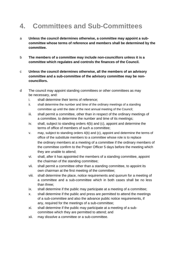# **4. Committees and Sub-Committees**

- a **Unless the council determines otherwise, a committee may appoint a subcommittee whose terms of reference and members shall be determined by the committee.**
- b **The members of a committee may include non-councillors unless it is a committee which regulates and controls the finances of the Council.**
- c **Unless the council determines otherwise, all the members of an advisory committee and a sub-committee of the advisory committee may be noncouncillors.**
- d The council may appoint standing committees or other committees as may be necessary, and:
	- i. shall determine their terms of reference;
	- ii. shall determine the number and time of the ordinary meetings of a standing committee up until the date of the next annual meeting of the Council;
	- iii. shall permit a committee, other than in respect of the ordinary meetings of a committee, to determine the number and time of its meetings;
	- iv. shall, subject to standing orders 4(b) and (c), appoint and determine the terms of office of members of such a committee;
	- v. may, subject to standing orders 4(b) and (c), appoint and determine the terms of office of the substitute members to a committee whose role is to replace the ordinary members at a meeting of a committee if the ordinary members of the committee confirm to the Proper Officer 5 days before the meeting which they are unable to attend;
	- vi. shall, after it has appointed the members of a standing committee, appoint the chairman of the standing committee;
	- vii. shall permit a committee other than a standing committee, to appoint its own chairman at the first meeting of the committee;
	- viii. shall determine the place, notice requirements and quorum for a meeting of a committee and a sub-committee which in both cases shall be no less than three;
	- ix. shall determine if the public may participate at a meeting of a committee;
	- x. shall determine if the public and press are permitted to attend the meetings of a sub-committee and also the advance public notice requirements, if any, required for the meetings of a sub-committee;
	- xi. shall determine if the public may participate at a meeting of a subcommittee which they are permitted to attend; and
	- xii. may dissolve a committee or a sub-committee.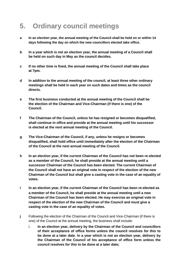# **5. Ordinary council meetings**

- **a In an election year, the annual meeting of the Council shall be held on or within 14 days following the day on which the new councillors elected take office.**
- **b In a year which is not an election year, the annual meeting of a Council shall be held on such day in May as the council decides.**
- **c If no other time is fixed, the annual meeting of the Council shall take place at 7pm.**
- **d In addition to the annual meeting of the council, at least three other ordinary meetings shall be held in each year on such dates and times as the council directs.**
- **e The first business conducted at the annual meeting of the Council shall be the election of the Chairman and Vice-Chairman (if there is one) of the Council.**
- **f The Chairman of the Council, unless he has resigned or becomes disqualified, shall continue in office and preside at the annual meeting until his successor is elected at the next annual meeting of the Council.**
- **g The Vice-Chairman of the Council, if any, unless he resigns or becomes disqualified, shall hold office until immediately after the election of the Chairman of the Council at the next annual meeting of the Council.**
- **h In an election year, if the current Chairman of the Council has not been re-elected as a member of the Council, he shall preside at the annual meeting until a successor Chairman of the Council has been elected. The current Chairman of the Council shall not have an original vote in respect of the election of the new Chairman of the Council but shall give a casting vote in the case of an equality of votes.**
- **i In an election year, if the current Chairman of the Council has been re-elected as a member of the Council, he shall preside at the annual meeting until a new Chairman of the Council has been elected. He may exercise an original vote in respect of the election of the new Chairman of the Council and must give a casting vote in the case of an equality of votes.**
- **j** Following the election of the Chairman of the Council and Vice-Chairman (if there is one) of the Council at the annual meeting, the business shall include:
	- i. **In an election year, delivery by the Chairman of the Council and councillors of their acceptance of office forms unless the council resolves for this to be done at a later date**. **In a year which is not an election year, delivery by the Chairman of the Council of his acceptance of office form unless the council resolves for this to be done at a later date;**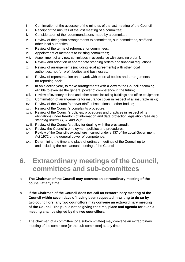- ii. Confirmation of the accuracy of the minutes of the last meeting of the Council;
- iii. Receipt of the minutes of the last meeting of a committee;
- iv. Consideration of the recommendations made by a committee;
- v. Review of delegation arrangements to committees, sub-committees, staff and other local authorities;
- vi. Review of the terms of reference for committees;
- vii. Appointment of members to existing committees;
- viii. Appointment of any new committees in accordance with standing order 4;
- ix. Review and adoption of appropriate standing orders and financial regulations;
- x. Review of arrangements (including legal agreements) with other local authorities, not-for-profit bodies and businesses;
- xi. Review of representation on or work with external bodies and arrangements for reporting back;
- xii. In an election year, to make arrangements with a view to the Council becoming eligible to exercise the general power of competence in the future;
- xiii. Review of inventory of land and other assets including buildings and office equipment;
- xiv. Confirmation of arrangements for insurance cover in respect of all insurable risks;
- xv. Review of the Council's and/or staff subscriptions to other bodies;
- xvi. Review of the Council's complaints procedure;
- xvii. Review of the Council's policies, procedures and practices in respect of its obligations under freedom of information and data protection legislation *(see also standing orders 11,20 and 21);*
- xviii. Review of the Council's policy for dealing with the press/media;
- xix. Review the Council's employment policies and procedures;
- xx. Review of the Council's expenditure incurred under s.137 of the Local Government Act 1972 or the general power of competence.
- xxi. Determining the time and place of ordinary meetings of the Council up to and including the next annual meeting of the Council.

#### **6. Extraordinary meetings of the Council, committees and sub-committees**

- a **The Chairman of the Council may convene an extraordinary meeting of the council at any time.**
- b **If the Chairman of the Council does not call an extraordinary meeting of the Council within seven days of having been requested in writing to do so by two councillors, any two councillors may convene an extraordinary meeting of the Council. The public notice giving the time, place and agenda for such a meeting shall be signed by the two councillors.**
- c The chairman of a committee [or a sub-committee] may convene an extraordinary meeting of the committee [or the sub-committee] at any time.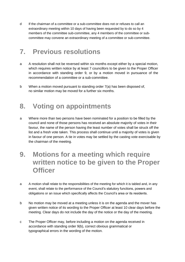d If the chairman of a committee or a sub-committee does not or refuses to call an extraordinary meeting within 10 days of having been requested by to do so by 4 members of the committee sub-committee, any 4 members of the committee or subcommittee may convene an extraordinary meeting of a committee or sub-committee.

#### **7. Previous resolutions**

- a A resolution shall not be reversed within six months except either by a special motion, which requires written notice by at least 7 councillors to be given to the Proper Officer in accordance with standing order 9, or by a motion moved in pursuance of the recommendation of a committee or a sub-committee.
- b When a motion moved pursuant to standing order 7(a) has been disposed of, no similar motion may be moved for a further six months.

#### **8. Voting on appointments**

a Where more than two persons have been nominated for a position to be filled by the council and none of those persons has received an absolute majority of votes in their favour, the name of the person having the least number of votes shall be struck off the list and a fresh vote taken. This process shall continue until a majority of votes is given in favour of one person. A tie in votes may be settled by the casting vote exercisable by the chairman of the meeting.

#### **9. Motions for a meeting which require written notice to be given to the Proper Officer**

- a A motion shall relate to the responsibilities of the meeting for which it is tabled and, in any event, shall relate to the performance of the Council's statutory functions, powers and obligations or an issue which specifically affects the Council's area or its residents.
- b No motion may be moved at a meeting unless it is on the agenda and the mover has given written notice of its wording to the Proper Officer at least 10 clear days before the meeting. Clear days do not include the day of the notice or the day of the meeting.
- c The Proper Officer may, before including a motion on the agenda received in accordance with standing order 9(b), correct obvious grammatical or typographical errors in the wording of the motion.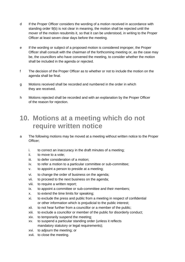- d If the Proper Officer considers the wording of a motion received in accordance with standing order 9(b) is not clear in meaning, the motion shall be rejected until the mover of the motion resubmits it, so that it can be understood, in writing to the Proper Officer at least seven clear days before the meeting.
- e If the wording or subject of a proposed motion is considered improper, the Proper Officer shall consult with the chairman of the forthcoming meeting or, as the case may be, the councillors who have convened the meeting, to consider whether the motion shall be included in the agenda or rejected.
- f The decision of the Proper Officer as to whether or not to include the motion on the agenda shall be final.
- g Motions received shall be recorded and numbered in the order in which they are received.
- h Motions rejected shall be recorded and with an explanation by the Proper Officer of the reason for rejection.

#### **10. Motions at a meeting which do not require written notice**

- a The following motions may be moved at a meeting without written notice to the Proper Officer;
	- i. to correct an inaccuracy in the draft minutes of a meeting;
	- ii. to move to a vote;
	- iii. to defer consideration of a motion;
	- iv. to refer a motion to a particular committee or sub-committee;
	- v. to appoint a person to preside at a meeting;
	- vi. to change the order of business on the agenda;
	- vii. to proceed to the next business on the agenda;
	- viii. to require a written report;
	- ix. to appoint a committee or sub-committee and their members;
	- x. to extend the time limits for speaking;
	- xi. to exclude the press and public from a meeting in respect of confidential or other information which is prejudicial to the public interest;
	- xii. to not hear further from a councillor or a member of the public;
	- xiii. to exclude a councillor or member of the public for disorderly conduct;
	- xiv. to temporarily suspend the meeting;
	- xv. to suspend a particular standing order (unless it reflects mandatory statutory or legal requirements);
	- xvi. to adjourn the meeting; or
	- xvii. to close the meeting.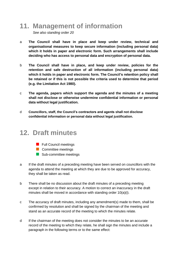#### **11. Management of information**

*See also standing order 20*

- a **The Council shall have in place and keep under review, technical and organisational measures to keep secure information (including personal data) which it holds in paper and electronic form. Such arrangements shall include deciding who has access to personal data and encryption of personal data.**
- b **The Council shall have in place, and keep under review, policies for the retention and safe destruction of all information (including personal data) which it holds in paper and electronic form. The Council's retention policy shall be retained or if this is not possible the criteria used to determine that period (e.g. the Limitation Act 1980).**
- c **The agenda, papers which support the agenda and the minutes of a meeting shall not disclose or otherwise undermine confidential information or personal data without legal justification.**
- d **Councillors, staff, the Council's contractors and agents shall not disclose confidential information or personal data without legal justification.**

#### **12. Draft minutes**

- **Full Council meetings**
- **Committee meetings**
- Sub-committee meetings
- a If the draft minutes of a preceding meeting have been served on councillors with the agenda to attend the meeting at which they are due to be approved for accuracy, they shall be taken as read.
- b There shall be no discussion about the draft minutes of a preceding meeting except in relation to their accuracy. A motion to correct an inaccuracy in the draft minutes shall be moved in accordance with standing order 10(a)(i).
- c The accuracy of draft minutes, including any amendment(s) made to them, shall be confirmed by resolution and shall be signed by the chairman of the meeting and stand as an accurate record of the meeting to which the minutes relate.
- d If the chairman of the meeting does not consider the minutes to be an accurate record of the meeting to which they relate, he shall sign the minutes and include a paragraph in the following terms or to the same effect: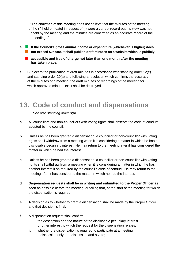"The chairman of this meeting does not believe that the minutes of the meeting of the ( ) held on [date] in respect of ( ) were a correct record but his view was not upheld by the meeting and the minutes are confirmed as an accurate record of the proceedings."

- <sup>e</sup> **If the Council's gross annual income or expenditure (whichever is higher) does** ■ not exceed £25,000, it shall publish draft minutes on a website which is publicly
	- **accessible and free of charge not later than one month after the meeting has taken place.**
- f Subject to the publication of draft minutes in accordance with standing order 12(e) and standing order 20(a) and following a resolution which confirms the accuracy of the minutes of a meeting, the draft minutes or recordings of the meeting for which approved minutes exist shall be destroyed.

## **13. Code of conduct and dispensations**

*See also standing order 3(u)*

- a All councillors and non-councillors with voting rights shall observe the code of conduct adopted by the council.
- b Unless he has been granted a dispensation, a councillor or non-councillor with voting rights shall withdraw from a meeting when it is considering a matter in which he has a disclosable pecuniary interest. He may return to the meeting after it has considered the matter in which he had the interest.
- c Unless he has been granted a dispensation, a councillor or non-councillor with voting rights shall withdraw from a meeting when it is considering a matter in which he has another interest if so required by the council's code of conduct. He may return to the meeting after it has considered the matter in which he had the interest.
- d **Dispensation requests shall be in writing and submitted to the Proper Officer** as soon as possible before the meeting, or failing that, at the start of the meeting for which the dispensation is required.
- e A decision as to whether to grant a dispensation shall be made by the Proper Officer and that decision is final.
- f A dispensation request shall confirm:
	- i. the description and the nature of the disclosable pecuniary interest or other interest to which the request for the dispensation relates;
	- ii. whether the dispensation is required to participate at a meeting in a discussion only or a discussion and a vote;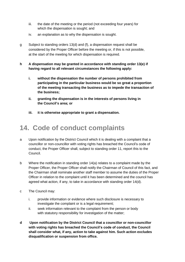- iii. the date of the meeting or the period (not exceeding four years) for which the dispensation is sought; and
- iv. an explanation as to why the dispensation is sought.
- g Subject to standing orders 13(d) and (f), a dispensation request shall be considered by the Proper Officer before the meeting or, if this is not possible, at the start of the meeting for which dispensation is required.
- **h A dispensation may be granted in accordance with standing order 13(e) if having regard to all relevant circumstances the following apply:**
	- **i. without the dispensation the number of persons prohibited from participating in the particular business would be so great a proportion of the meeting transacting the business as to impede the transaction of the business;**
	- **ii. granting the dispensation is in the interests of persons living in the Council's area; or**
	- **iii. it is otherwise appropriate to grant a dispensation.**

## **14. Code of conduct complaints**

- a Upon notification by the District Council which it is dealing with a complaint that a councillor or non-councillor with voting rights has breached the Council's code of conduct, the Proper Officer shall, subject to standing order 11, report this to the Council.
- b Where the notification in standing order 14(a) relates to a complaint made by the Proper Officer, the Proper Officer shall notify the Chairman of Council of this fact, and the Chairman shall nominate another staff member to assume the duties of the Proper Officer in relation to the complaint until it has been determined and the council has agreed what action, if any, to take in accordance with standing order 14(d).
- c The Council may:
	- i. provide information or evidence where such disclosure is necessary to investigate the complaint or is a legal requirement;
	- ii. seek information relevant to the complaint from the person or body with statutory responsibility for investigation of the matter;
- **d Upon notification by the District Council that a councillor or non-councillor with voting rights has breached the Council's code of conduct, the Council shall consider what, if any, action to take against him. Such action excludes disqualification or suspension from office.**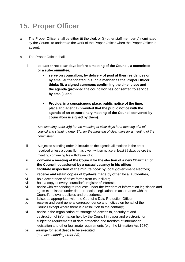# **15. Proper Officer**

- a The Proper Officer shall be either (i) the clerk or (ii) other staff member(s) nominated by the Council to undertake the work of the Proper Officer when the Proper Officer is absent.
- b The Proper Officer shall:
	- i. **at least three clear days before a meeting of the Council, a committee or a sub-committee,**
		- **serve on councillors, by delivery of post at their residences or by email authenticated in such a manner as the Proper Officer thinks fit, a signed summons confirming the time, place and the agenda (provided the councillor has consented to service by email), and**
		- **Provide, in a conspicuous place, public notice of the time, place and agenda (provided that the public notice with the agenda of an extraordinary meeting of the Council convened by councillors is signed by them).**

*See standing order 3(b) for the meaning of clear days for a meeting of a full council and standing order 3(c) for the meaning of clear days for a meeting of the committee;*

- ii. Subject to standing order 9, include on the agenda all motions in the order received unless a councillor has given written notice at least ( ) days before the meeting confirming his withdrawal of it.
- iii. **convene a meeting of the Council for the election of a new Chairman of the Council, occasioned by a casual vacancy in his office;**
- iv. **facilitate inspection of the minute book by local government electors;**
- v. **receive and retain copies of byelaws made by other local authorities;**
- vi. hold acceptance of office forms from councillors;
- vii. hold a copy of every councillor's register of interests;
- viii. assist with responding to requests under the freedom of information legislation and rights exercisable under data protection legislation, in accordance with the Council's relevant policies and procedures;
- ix. liaise, as appropriate, with the Council's Data Protection Officer;
- x. receive and send general correspondence and notices on behalf of the Council except where there is a resolution to the contrary;
- xi. assist in the organisation of, storage of, access to, security of and destruction of information held by the Council in paper and electronic form subject to requirements of data protection and freedom of information legislation and other legitimate requirements (e.g. the Limitation Act 1980);
- xii. arrange for legal deeds to be executed; *(see also standing order 23);*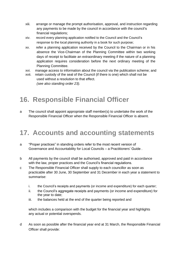- xiii. arrange or manage the prompt authorisation, approval, and instruction regarding any payments to be made by the council in accordance with the council's financial regulations;
- xiv. record every planning application notified to the Council and the Council's response to the local planning authority in a book for such purpose;
- xv. refer a planning application received by the Council to the Chairman or in his absence the Vice-Chairman of the Planning Committee within two working days of receipt to facilitate an extraordinary meeting if the nature of a planning application requires consideration before the next ordinary meeting of the Planning Committee.
- xvi. manage access to information about the council via the publication scheme; and
- xvii. retain custody of the seal of the Council (if there is one) which shall not be used without a resolution to that effect. *(see also standing order 23).*

## **16. Responsible Financial Officer**

a The council shall appoint appropriate staff member(s) to undertake the work of the Responsible Financial Officer when the Responsible Financial Officer is absent.

## **17. Accounts and accounting statements**

- a "Proper practices" in standing orders refer to the most recent version of Governance and Accountability for Local Councils – a Practitioners' Guide .
- b All payments by the council shall be authorised, approved and paid in accordance with the law, proper practices and the Council's financial regulations.
- c The Responsible Financial Officer shall supply to each councillor as soon as practicable after 30 June, 30 September and 31 December in each year a statement to summarise:
	- i. the Council's receipts and payments (or income and expenditure) for each quarter;
	- ii. the Council's aggregate receipts and payments (or income and expenditure) for the year to date;
	- iii. the balances held at the end of the quarter being reported and

which includes a comparison with the budget for the financial year and highlights any actual or potential overspends.

d As soon as possible after the financial year end at 31 March, the Responsible Financial Officer shall provide: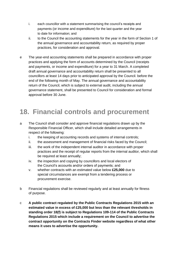- i. each councillor with a statement summarising the council's receipts and payments (or income and expenditure) for the last quarter and the year to date for information; and
- ii. to the Council the accounting statements for the year in the form of Section 1 of the annual governance and accountability return, as required by proper practices, for consideration and approval.
- e The year-end accounting statements shall be prepared in accordance with proper practices and applying the form of accounts determined by the Council (receipts and payments, or income and expenditure) for a year to 31 March. A completed draft annual governance and accountability return shall be presented to all councillors at least 14 days prior to anticipated approval by the Council. before the end of the following month of May. The annual governance and accountability return of the Council, which is subject to external audit, including the annual governance statement, shall be presented to Council for consideration and formal approval before 30 June.

## **18. Financial controls and procurement**

- a The Council shall consider and approve financial regulations drawn up by the Responsible Financial Officer, which shall include detailed arrangements in respect of the following:
	- i. the keeping of accounting records and systems of internal controls;
	- ii. the assessment and management of financial risks faced by the Council;
	- iii. the work of the independent internal auditor in accordance with proper practices and the receipt of regular reports from the internal auditor, which shall be required at least annually;
	- iv. the inspection and copying by councillors and local electors of the Council's accounts and/or orders of payments; and
	- v. whether contracts with an estimated value below **£25,000** due to special circumstances are exempt from a tendering process or procurement exercise.
- b Financial regulations shall be reviewed regularly and at least annually for fitness of purpose.
- c **A public contract regulated by the Public Contracts Regulations 2015 with an estimated value in excess of £25,000 but less than the relevant thresholds in standing order 18(f) is subject to Regulations 109-114 of the Public Contracts Regulations 2015 which include a requirement on the Council to advertise the contract opportunity on the Contracts Finder website regardless of what other means it uses to advertise the opportunity.**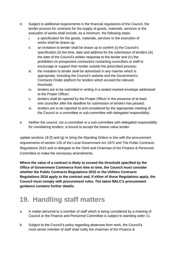- d Subject to additional requirements in the financial regulations of the Council, the tender process for contracts for the supply of goods, materials, services or the execution of works shall include, as a minimum, the following steps:
	- i. a specification for the goods, materials, services or the execution of works shall be drawn up;
	- ii. an invitation to tender shall be drawn up to confirm (i) the Council's specification (ii) the time, date and address for the submission of tenders (iii) the date of the Council's written response to the tender and (iv) the prohibition on prospective contractors contacting councillors or staff to encourage or support their tender outside the prescribed process;
	- iii. the invitation to tender shall be advertised in any manner which is appropriate, including the Council's website and the Government's Contracts Finder platform for tenders which exceed the relevant threshold;
	- iv. tenders are to be submitted in writing in a sealed marked envelope addressed to the Proper Officer;
	- v. tenders shall be opened by the Proper Officer in the presence of at least one councillor after the deadline for submission of tenders has passed;
	- vi. tenders are to be reported to and considered by the appropriate meeting of the Council or a committee or sub-committee with delegated responsibility.
- e Neither the council, nor a committee or a sub-committee with delegated responsibility for considering tenders, is bound to accept the lowest value tender.

update sections 18 (f) and (g) to bring the Standing Orders in line with the procurement requirements of section 135 of the Local Government Act 1972 and The Public Contracts Regulations 2015 and to delegate to the Clerk and Chairman of the Finance & Personnel Committee to make the necessary amendments.

**Where the value of a contract is likely to exceed the threshold specified by the Office of Government Commerce from time to time, the Council must consider whether the Public Contracts Regulations 2015 or the Utilities Contracts Regulations 2016 apply to the contract and, if either of those Regulations apply, the Council must comply with procurement rules. The latest NALC's procurement guidance contains further details.**

# **19. Handling staff matters**

- a A matter personal to a member of staff which is being considered by a meeting of Council or the Finance and Personnel Committee is subject to standing order 11.
- b Subject to the Council's policy regarding absences from work, the Council's most senior member of staff shall notify the chairman of the Finance &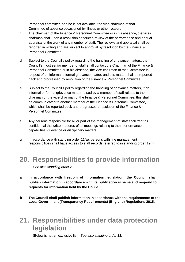Personnel committee or if he is not available, the vice-chairman of that Committee of absence occasioned by illness or other reason.

- c The chairman of the Finance & Personnel Committee or in his absence, the vicechairman shall upon a resolution conduct a review of the performance and annual appraisal of the work of any member of staff. The reviews and appraisal shall be reported in writing and are subject to approval by resolution by the Finance & Personnel Committee.
- d Subject to the Council's policy regarding the handling of grievance matters, the Council's most senior member of staff shall contact the Chairman of the Finance & Personnel Committee or in his absence, the vice-chairman of that Committee in respect of an informal o formal grievance matter, and this matter shall be reported back and progressed by resolution of the Finance & Personnel Committee.
- e Subject to the Council's policy regarding the handling of grievance matters, if an informal or formal grievance matter raised by a member of staff relates to the chairman or the vice-chairman of the Finance & Personnel Committee, this shall be communicated to another member of the Finance & Personnel Committee, which shall be reported back and progressed a resolution of the Finance & Personnel Committee.
- f Any persons responsible for all or part of the management of staff shall treat as confidential the written records of all meetings relating to their performance, capabilities, grievance or disciplinary matters.
- g In accordance with standing order 11(a), persons with line management responsibilities shall have access to staff records referred to in standing order 19(f).

#### **20. Responsibilities to provide information**

*See also standing order 21.*

- **a In accordance with freedom of information legislation, the Council shall publish information in accordance with its publication scheme and respond to requests for information held by the Council.**
- **b The Council shall publish information in accordance with the requirements of the Local Government (Transparency Requirements) (England) Regulations 2015.**

#### **21. Responsibilities under data protection legislation**

(Below is not an exclusive list). *See also standing order 11.*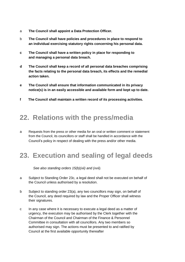- a **The Council shall appoint a Data Protection Officer.**
- b **The Council shall have policies and procedures in place to respond to an individual exercising statutory rights concerning his personal data.**
- **c The Council shall have a written policy in place for responding to and managing a personal data breach.**
- **d The Council shall keep a record of all personal data breaches comprising the facts relating to the personal data breach, its effects and the remedial action taken.**
- **e The Council shall ensure that information communicated in its privacy notice(s) is in an easily accessible and available form and kept up to date.**
- **f The Council shall maintain a written record of its processing activities.**

#### **22. Relations with the press/media**

a Requests from the press or other media for an oral or written comment or statement from the Council, its councillors or staff shall be handled in accordance with the Council's policy in respect of dealing with the press and/or other media.

## **23. Execution and sealing of legal deeds**

*See also standing orders 15(b)(xii) and (xvii).*

- a Subject to Standing Order 23c, a legal deed shall not be executed on behalf of the Council unless authorised by a resolution.
- b Subject to standing order 23(a), any two councillors may sign, on behalf of the Council, any deed required by law and the Proper Officer shall witness their signatures.
- c In any case where it is necessary to execute a legal deed as a matter of urgency, the execution may be authorised by the Clerk together with the Chairman of the Council and Chairman of the Finance & Personnel Committee in consultation with all councillors. Any two members so authorised may sign. The actions must be presented to and ratified by Council at the first available opportunity thereafter